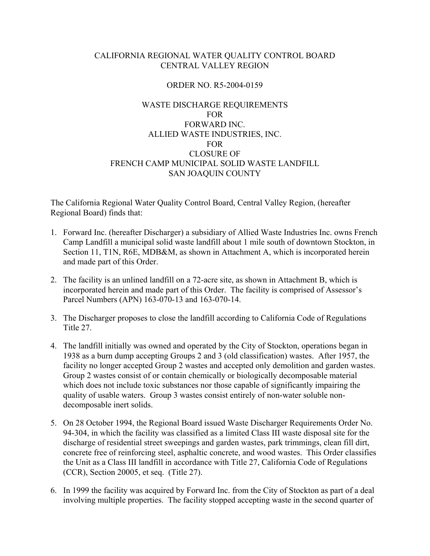# CALIFORNIA REGIONAL WATER QUALITY CONTROL BOARD CENTRAL VALLEY REGION

# ORDER NO. R5-2004-0159

# WASTE DISCHARGE REQUIREMENTS FOR FORWARD INC. ALLIED WASTE INDUSTRIES, INC. FOR CLOSURE OF FRENCH CAMP MUNICIPAL SOLID WASTE LANDFILL SAN JOAQUIN COUNTY

The California Regional Water Quality Control Board, Central Valley Region, (hereafter Regional Board) finds that:

- 1. Forward Inc. (hereafter Discharger) a subsidiary of Allied Waste Industries Inc. owns French Camp Landfill a municipal solid waste landfill about 1 mile south of downtown Stockton, in Section 11, T1N, R6E, MDB&M, as shown in Attachment A, which is incorporated herein and made part of this Order.
- 2. The facility is an unlined landfill on a 72-acre site, as shown in Attachment B, which is incorporated herein and made part of this Order. The facility is comprised of Assessor's Parcel Numbers (APN) 163-070-13 and 163-070-14.
- 3. The Discharger proposes to close the landfill according to California Code of Regulations Title 27.
- 4. The landfill initially was owned and operated by the City of Stockton, operations began in 1938 as a burn dump accepting Groups 2 and 3 (old classification) wastes. After 1957, the facility no longer accepted Group 2 wastes and accepted only demolition and garden wastes. Group 2 wastes consist of or contain chemically or biologically decomposable material which does not include toxic substances nor those capable of significantly impairing the quality of usable waters. Group 3 wastes consist entirely of non-water soluble nondecomposable inert solids.
- 5. On 28 October 1994, the Regional Board issued Waste Discharger Requirements Order No. 94-304, in which the facility was classified as a limited Class III waste disposal site for the discharge of residential street sweepings and garden wastes, park trimmings, clean fill dirt, concrete free of reinforcing steel, asphaltic concrete, and wood wastes. This Order classifies the Unit as a Class III landfill in accordance with Title 27, California Code of Regulations (CCR), Section 20005, et seq. (Title 27).
- 6. In 1999 the facility was acquired by Forward Inc. from the City of Stockton as part of a deal involving multiple properties. The facility stopped accepting waste in the second quarter of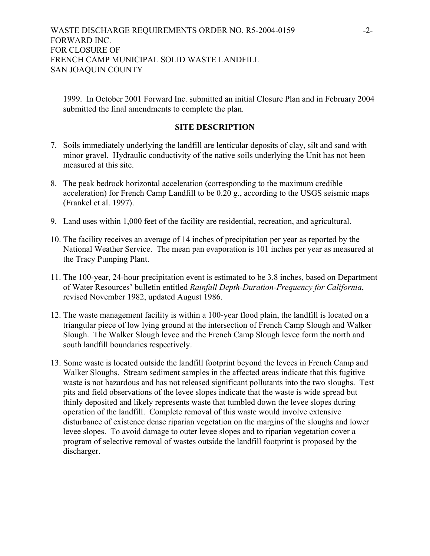1999. In October 2001 Forward Inc. submitted an initial Closure Plan and in February 2004 submitted the final amendments to complete the plan.

## **SITE DESCRIPTION**

- 7. Soils immediately underlying the landfill are lenticular deposits of clay, silt and sand with minor gravel. Hydraulic conductivity of the native soils underlying the Unit has not been measured at this site.
- 8. The peak bedrock horizontal acceleration (corresponding to the maximum credible acceleration) for French Camp Landfill to be 0.20 g., according to the USGS seismic maps (Frankel et al. 1997).
- 9. Land uses within 1,000 feet of the facility are residential, recreation, and agricultural.
- 10. The facility receives an average of 14 inches of precipitation per year as reported by the National Weather Service. The mean pan evaporation is 101 inches per year as measured at the Tracy Pumping Plant.
- 11. The 100-year, 24-hour precipitation event is estimated to be 3.8 inches, based on Department of Water Resources' bulletin entitled *Rainfall Depth-Duration-Frequency for California*, revised November 1982, updated August 1986.
- 12. The waste management facility is within a 100-year flood plain, the landfill is located on a triangular piece of low lying ground at the intersection of French Camp Slough and Walker Slough. The Walker Slough levee and the French Camp Slough levee form the north and south landfill boundaries respectively.
- 13. Some waste is located outside the landfill footprint beyond the levees in French Camp and Walker Sloughs. Stream sediment samples in the affected areas indicate that this fugitive waste is not hazardous and has not released significant pollutants into the two sloughs. Test pits and field observations of the levee slopes indicate that the waste is wide spread but thinly deposited and likely represents waste that tumbled down the levee slopes during operation of the landfill. Complete removal of this waste would involve extensive disturbance of existence dense riparian vegetation on the margins of the sloughs and lower levee slopes. To avoid damage to outer levee slopes and to riparian vegetation cover a program of selective removal of wastes outside the landfill footprint is proposed by the discharger.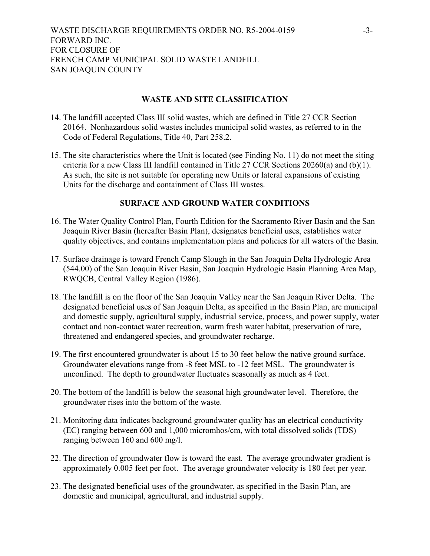# **WASTE AND SITE CLASSIFICATION**

- 14. The landfill accepted Class III solid wastes, which are defined in Title 27 CCR Section 20164. Nonhazardous solid wastes includes municipal solid wastes, as referred to in the Code of Federal Regulations, Title 40, Part 258.2.
- 15. The site characteristics where the Unit is located (see Finding No. 11) do not meet the siting criteria for a new Class III landfill contained in Title 27 CCR Sections 20260(a) and (b)(1). As such, the site is not suitable for operating new Units or lateral expansions of existing Units for the discharge and containment of Class III wastes.

# **SURFACE AND GROUND WATER CONDITIONS**

- 16. The Water Quality Control Plan, Fourth Edition for the Sacramento River Basin and the San Joaquin River Basin (hereafter Basin Plan), designates beneficial uses, establishes water quality objectives, and contains implementation plans and policies for all waters of the Basin.
- 17. Surface drainage is toward French Camp Slough in the San Joaquin Delta Hydrologic Area (544.00) of the San Joaquin River Basin, San Joaquin Hydrologic Basin Planning Area Map, RWQCB, Central Valley Region (1986).
- 18. The landfill is on the floor of the San Joaquin Valley near the San Joaquin River Delta. The designated beneficial uses of San Joaquin Delta, as specified in the Basin Plan, are municipal and domestic supply, agricultural supply, industrial service, process, and power supply, water contact and non-contact water recreation, warm fresh water habitat, preservation of rare, threatened and endangered species, and groundwater recharge.
- 19. The first encountered groundwater is about 15 to 30 feet below the native ground surface. Groundwater elevations range from -8 feet MSL to -12 feet MSL. The groundwater is unconfined. The depth to groundwater fluctuates seasonally as much as 4 feet.
- 20. The bottom of the landfill is below the seasonal high groundwater level. Therefore, the groundwater rises into the bottom of the waste.
- 21. Monitoring data indicates background groundwater quality has an electrical conductivity (EC) ranging between 600 and 1,000 micromhos/cm, with total dissolved solids (TDS) ranging between 160 and 600 mg/l.
- 22. The direction of groundwater flow is toward the east. The average groundwater gradient is approximately 0.005 feet per foot. The average groundwater velocity is 180 feet per year.
- 23. The designated beneficial uses of the groundwater, as specified in the Basin Plan, are domestic and municipal, agricultural, and industrial supply.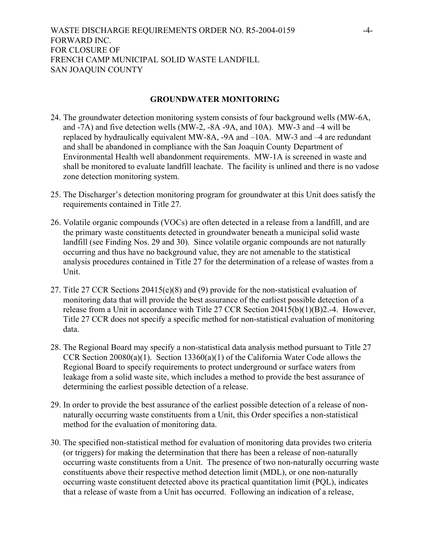# **GROUNDWATER MONITORING**

- 24. The groundwater detection monitoring system consists of four background wells (MW-6A, and -7A) and five detection wells (MW-2, -8A -9A, and 10A). MW-3 and –4 will be replaced by hydraulically equivalent MW-8A, -9A and –10A. MW-3 and –4 are redundant and shall be abandoned in compliance with the San Joaquin County Department of Environmental Health well abandonment requirements. MW-1A is screened in waste and shall be monitored to evaluate landfill leachate. The facility is unlined and there is no vadose zone detection monitoring system.
- 25. The Discharger's detection monitoring program for groundwater at this Unit does satisfy the requirements contained in Title 27.
- 26. Volatile organic compounds (VOCs) are often detected in a release from a landfill, and are the primary waste constituents detected in groundwater beneath a municipal solid waste landfill (see Finding Nos. 29 and 30). Since volatile organic compounds are not naturally occurring and thus have no background value, they are not amenable to the statistical analysis procedures contained in Title 27 for the determination of a release of wastes from a Unit.
- 27. Title 27 CCR Sections 20415(e)(8) and (9) provide for the non-statistical evaluation of monitoring data that will provide the best assurance of the earliest possible detection of a release from a Unit in accordance with Title 27 CCR Section 20415(b)(1)(B)2.-4. However, Title 27 CCR does not specify a specific method for non-statistical evaluation of monitoring data.
- 28. The Regional Board may specify a non-statistical data analysis method pursuant to Title 27 CCR Section 20080(a)(1). Section 13360(a)(1) of the California Water Code allows the Regional Board to specify requirements to protect underground or surface waters from leakage from a solid waste site, which includes a method to provide the best assurance of determining the earliest possible detection of a release.
- 29. In order to provide the best assurance of the earliest possible detection of a release of nonnaturally occurring waste constituents from a Unit, this Order specifies a non-statistical method for the evaluation of monitoring data.
- 30. The specified non-statistical method for evaluation of monitoring data provides two criteria (or triggers) for making the determination that there has been a release of non-naturally occurring waste constituents from a Unit. The presence of two non-naturally occurring waste constituents above their respective method detection limit (MDL), or one non-naturally occurring waste constituent detected above its practical quantitation limit (PQL), indicates that a release of waste from a Unit has occurred. Following an indication of a release,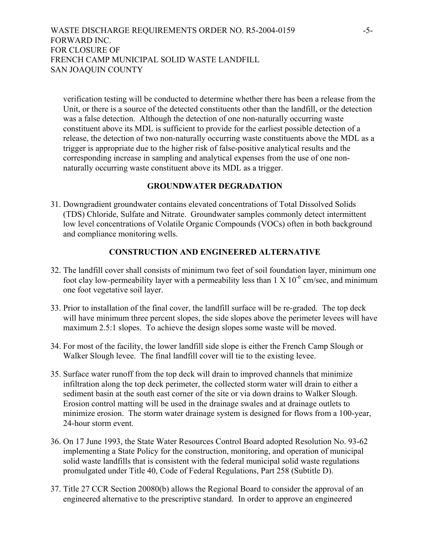# WASTE DISCHARGE REQUIREMENTS ORDER NO. R5-2004-0159 -5-FORWARD INC. FOR CLOSURE OF FRENCH CAMP MUNICIPAL SOLID WASTE LANDFILL SAN JOAQUIN COUNTY

verification testing will be conducted to determine whether there has been a release from the Unit, or there is a source of the detected constituents other than the landfill, or the detection was a false detection. Although the detection of one non-naturally occurring waste constituent above its MDL is sufficient to provide for the earliest possible detection of a release, the detection of two non-naturally occurring waste constituents above the MDL as a trigger is appropriate due to the higher risk of false-positive analytical results and the corresponding increase in sampling and analytical expenses from the use of one nonnaturally occurring waste constituent above its MDL as a trigger.

# **GROUNDWATER DEGRADATION**

31. Downgradient groundwater contains elevated concentrations of Total Dissolved Solids (TDS) Chloride, Sulfate and Nitrate. Groundwater samples commonly detect intermittent low level concentrations of Volatile Organic Compounds (VOCs) often in both background and compliance monitoring wells.

# **CONSTRUCTION AND ENGINEERED ALTERNATIVE**

- 32. The landfill cover shall consists of minimum two feet of soil foundation layer, minimum one foot clay low-permeability layer with a permeability less than  $1 \times 10^{-6}$  cm/sec, and minimum one foot vegetative soil layer.
- 33. Prior to installation of the final cover, the landfill surface will be re-graded. The top deck will have minimum three percent slopes, the side slopes above the perimeter levees will have maximum 2.5:1 slopes. To achieve the design slopes some waste will be moved.
- 34. For most of the facility, the lower landfill side slope is either the French Camp Slough or Walker Slough levee. The final landfill cover will tie to the existing levee.
- 35. Surface water runoff from the top deck will drain to improved channels that minimize infiltration along the top deck perimeter, the collected storm water will drain to either a sediment basin at the south east corner of the site or via down drains to Walker Slough. Erosion control matting will be used in the drainage swales and at drainage outlets to minimize erosion. The storm water drainage system is designed for flows from a 100-year, 24-hour storm event.
- 36. On 17 June 1993, the State Water Resources Control Board adopted Resolution No. 93-62 implementing a State Policy for the construction, monitoring, and operation of municipal solid waste landfills that is consistent with the federal municipal solid waste regulations promulgated under Title 40, Code of Federal Regulations, Part 258 (Subtitle D).
- 37. Title 27 CCR Section 20080(b) allows the Regional Board to consider the approval of an engineered alternative to the prescriptive standard. In order to approve an engineered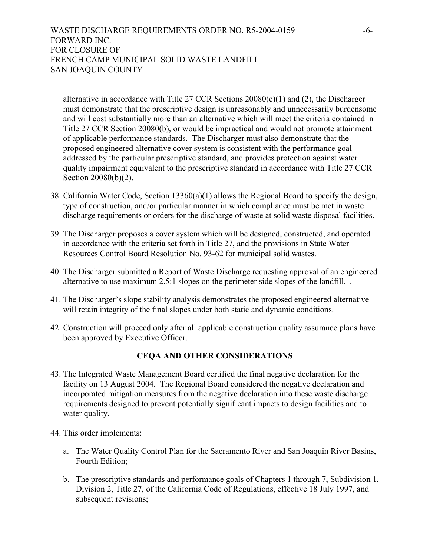# WASTE DISCHARGE REQUIREMENTS ORDER NO. R5-2004-0159 -6-FORWARD INC. FOR CLOSURE OF FRENCH CAMP MUNICIPAL SOLID WASTE LANDFILL SAN JOAQUIN COUNTY

alternative in accordance with Title 27 CCR Sections  $20080(c)(1)$  and (2), the Discharger must demonstrate that the prescriptive design is unreasonably and unnecessarily burdensome and will cost substantially more than an alternative which will meet the criteria contained in Title 27 CCR Section 20080(b), or would be impractical and would not promote attainment of applicable performance standards. The Discharger must also demonstrate that the proposed engineered alternative cover system is consistent with the performance goal addressed by the particular prescriptive standard, and provides protection against water quality impairment equivalent to the prescriptive standard in accordance with Title 27 CCR Section 20080(b)(2).

- 38. California Water Code, Section 13360(a)(1) allows the Regional Board to specify the design, type of construction, and/or particular manner in which compliance must be met in waste discharge requirements or orders for the discharge of waste at solid waste disposal facilities.
- 39. The Discharger proposes a cover system which will be designed, constructed, and operated in accordance with the criteria set forth in Title 27, and the provisions in State Water Resources Control Board Resolution No. 93-62 for municipal solid wastes.
- 40. The Discharger submitted a Report of Waste Discharge requesting approval of an engineered alternative to use maximum 2.5:1 slopes on the perimeter side slopes of the landfill. *.*
- 41. The Discharger's slope stability analysis demonstrates the proposed engineered alternative will retain integrity of the final slopes under both static and dynamic conditions.
- 42. Construction will proceed only after all applicable construction quality assurance plans have been approved by Executive Officer.

# **CEQA AND OTHER CONSIDERATIONS**

- 43. The Integrated Waste Management Board certified the final negative declaration for the facility on 13 August 2004. The Regional Board considered the negative declaration and incorporated mitigation measures from the negative declaration into these waste discharge requirements designed to prevent potentially significant impacts to design facilities and to water quality.
- 44. This order implements:
	- a. The Water Quality Control Plan for the Sacramento River and San Joaquin River Basins, Fourth Edition;
	- b. The prescriptive standards and performance goals of Chapters 1 through 7, Subdivision 1, Division 2, Title 27, of the California Code of Regulations, effective 18 July 1997, and subsequent revisions;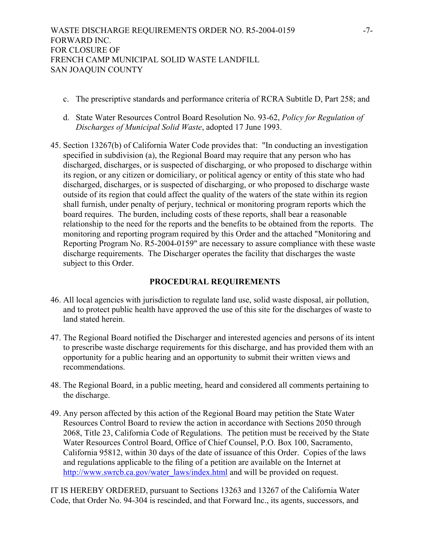- c. The prescriptive standards and performance criteria of RCRA Subtitle D, Part 258; and
- d. State Water Resources Control Board Resolution No. 93-62, *Policy for Regulation of Discharges of Municipal Solid Waste*, adopted 17 June 1993.
- 45. Section 13267(b) of California Water Code provides that: "In conducting an investigation specified in subdivision (a), the Regional Board may require that any person who has discharged, discharges, or is suspected of discharging, or who proposed to discharge within its region, or any citizen or domiciliary, or political agency or entity of this state who had discharged, discharges, or is suspected of discharging, or who proposed to discharge waste outside of its region that could affect the quality of the waters of the state within its region shall furnish, under penalty of perjury, technical or monitoring program reports which the board requires. The burden, including costs of these reports, shall bear a reasonable relationship to the need for the reports and the benefits to be obtained from the reports. The monitoring and reporting program required by this Order and the attached "Monitoring and Reporting Program No. R5-2004-0159" are necessary to assure compliance with these waste discharge requirements. The Discharger operates the facility that discharges the waste subject to this Order.

# **PROCEDURAL REQUIREMENTS**

- 46. All local agencies with jurisdiction to regulate land use, solid waste disposal, air pollution, and to protect public health have approved the use of this site for the discharges of waste to land stated herein.
- 47. The Regional Board notified the Discharger and interested agencies and persons of its intent to prescribe waste discharge requirements for this discharge, and has provided them with an opportunity for a public hearing and an opportunity to submit their written views and recommendations.
- 48. The Regional Board, in a public meeting, heard and considered all comments pertaining to the discharge.
- 49. Any person affected by this action of the Regional Board may petition the State Water Resources Control Board to review the action in accordance with Sections 2050 through 2068, Title 23, California Code of Regulations. The petition must be received by the State Water Resources Control Board, Office of Chief Counsel, P.O. Box 100, Sacramento, California 95812, within 30 days of the date of issuance of this Order. Copies of the laws and regulations applicable to the filing of a petition are available on the Internet at http://www.swrcb.ca.gov/water\_laws/index.html and will be provided on request.

IT IS HEREBY ORDERED, pursuant to Sections 13263 and 13267 of the California Water Code, that Order No. 94-304 is rescinded, and that Forward Inc., its agents, successors, and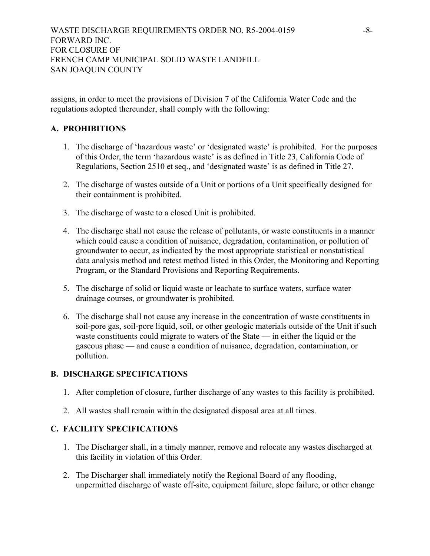assigns, in order to meet the provisions of Division 7 of the California Water Code and the regulations adopted thereunder, shall comply with the following:

# **A. PROHIBITIONS**

- 1. The discharge of 'hazardous waste' or 'designated waste' is prohibited. For the purposes of this Order, the term 'hazardous waste' is as defined in Title 23, California Code of Regulations, Section 2510 et seq., and 'designated waste' is as defined in Title 27.
- 2. The discharge of wastes outside of a Unit or portions of a Unit specifically designed for their containment is prohibited.
- 3. The discharge of waste to a closed Unit is prohibited.
- 4. The discharge shall not cause the release of pollutants, or waste constituents in a manner which could cause a condition of nuisance, degradation, contamination, or pollution of groundwater to occur, as indicated by the most appropriate statistical or nonstatistical data analysis method and retest method listed in this Order, the Monitoring and Reporting Program, or the Standard Provisions and Reporting Requirements.
- 5. The discharge of solid or liquid waste or leachate to surface waters, surface water drainage courses, or groundwater is prohibited.
- 6. The discharge shall not cause any increase in the concentration of waste constituents in soil-pore gas, soil-pore liquid, soil, or other geologic materials outside of the Unit if such waste constituents could migrate to waters of the State — in either the liquid or the gaseous phase — and cause a condition of nuisance, degradation, contamination, or pollution.

# **B. DISCHARGE SPECIFICATIONS**

- 1. After completion of closure, further discharge of any wastes to this facility is prohibited.
- 2. All wastes shall remain within the designated disposal area at all times.

# **C. FACILITY SPECIFICATIONS**

- 1. The Discharger shall, in a timely manner, remove and relocate any wastes discharged at this facility in violation of this Order.
- 2. The Discharger shall immediately notify the Regional Board of any flooding, unpermitted discharge of waste off-site, equipment failure, slope failure, or other change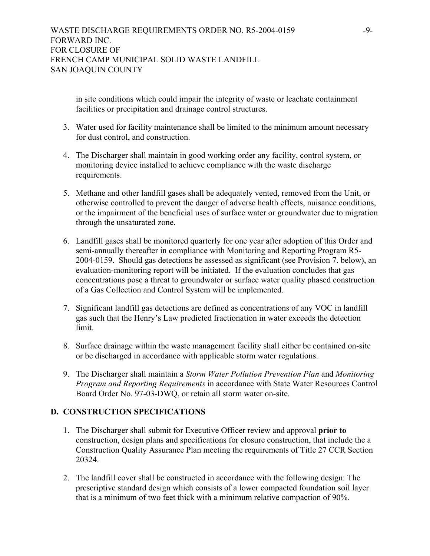in site conditions which could impair the integrity of waste or leachate containment facilities or precipitation and drainage control structures.

- 3. Water used for facility maintenance shall be limited to the minimum amount necessary for dust control, and construction.
- 4. The Discharger shall maintain in good working order any facility, control system, or monitoring device installed to achieve compliance with the waste discharge requirements.
- 5. Methane and other landfill gases shall be adequately vented, removed from the Unit, or otherwise controlled to prevent the danger of adverse health effects, nuisance conditions, or the impairment of the beneficial uses of surface water or groundwater due to migration through the unsaturated zone.
- 6. Landfill gases shall be monitored quarterly for one year after adoption of this Order and semi-annually thereafter in compliance with Monitoring and Reporting Program R5- 2004-0159. Should gas detections be assessed as significant (see Provision 7. below), an evaluation-monitoring report will be initiated. If the evaluation concludes that gas concentrations pose a threat to groundwater or surface water quality phased construction of a Gas Collection and Control System will be implemented.
- 7. Significant landfill gas detections are defined as concentrations of any VOC in landfill gas such that the Henry's Law predicted fractionation in water exceeds the detection limit.
- 8. Surface drainage within the waste management facility shall either be contained on-site or be discharged in accordance with applicable storm water regulations.
- 9. The Discharger shall maintain a *Storm Water Pollution Prevention Plan* and *Monitoring Program and Reporting Requirements* in accordance with State Water Resources Control Board Order No. 97-03-DWQ, or retain all storm water on-site.

# **D. CONSTRUCTION SPECIFICATIONS**

- 1. The Discharger shall submit for Executive Officer review and approval **prior to** construction, design plans and specifications for closure construction, that include the a Construction Quality Assurance Plan meeting the requirements of Title 27 CCR Section 20324.
- 2. The landfill cover shall be constructed in accordance with the following design: The prescriptive standard design which consists of a lower compacted foundation soil layer that is a minimum of two feet thick with a minimum relative compaction of 90%.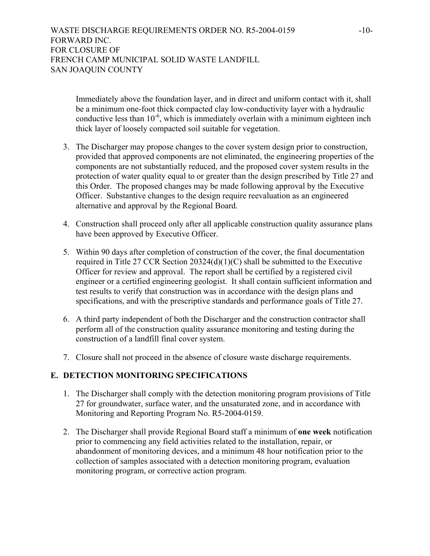Immediately above the foundation layer, and in direct and uniform contact with it, shall be a minimum one-foot thick compacted clay low-conductivity layer with a hydraulic conductive less than  $10^{-6}$ , which is immediately overlain with a minimum eighteen inch thick layer of loosely compacted soil suitable for vegetation.

- 3. The Discharger may propose changes to the cover system design prior to construction, provided that approved components are not eliminated, the engineering properties of the components are not substantially reduced, and the proposed cover system results in the protection of water quality equal to or greater than the design prescribed by Title 27 and this Order. The proposed changes may be made following approval by the Executive Officer. Substantive changes to the design require reevaluation as an engineered alternative and approval by the Regional Board.
- 4. Construction shall proceed only after all applicable construction quality assurance plans have been approved by Executive Officer.
- 5. Within 90 days after completion of construction of the cover, the final documentation required in Title 27 CCR Section 20324(d)(1)(C) shall be submitted to the Executive Officer for review and approval. The report shall be certified by a registered civil engineer or a certified engineering geologist. It shall contain sufficient information and test results to verify that construction was in accordance with the design plans and specifications, and with the prescriptive standards and performance goals of Title 27.
- 6. A third party independent of both the Discharger and the construction contractor shall perform all of the construction quality assurance monitoring and testing during the construction of a landfill final cover system.
- 7. Closure shall not proceed in the absence of closure waste discharge requirements.

# **E. DETECTION MONITORING SPECIFICATIONS**

- 1. The Discharger shall comply with the detection monitoring program provisions of Title 27 for groundwater, surface water, and the unsaturated zone, and in accordance with Monitoring and Reporting Program No. R5-2004-0159.
- 2. The Discharger shall provide Regional Board staff a minimum of **one week** notification prior to commencing any field activities related to the installation, repair, or abandonment of monitoring devices, and a minimum 48 hour notification prior to the collection of samples associated with a detection monitoring program, evaluation monitoring program, or corrective action program.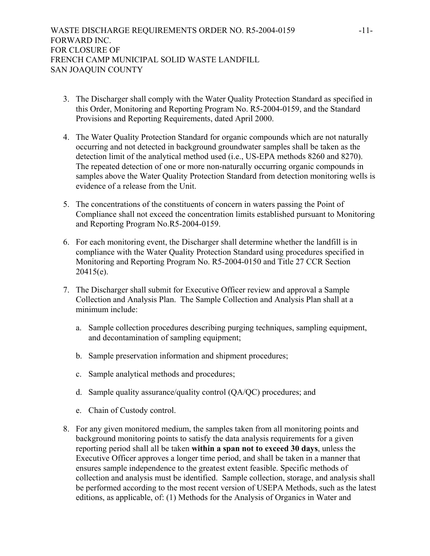- 3. The Discharger shall comply with the Water Quality Protection Standard as specified in this Order, Monitoring and Reporting Program No. R5-2004-0159, and the Standard Provisions and Reporting Requirements, dated April 2000.
- 4. The Water Quality Protection Standard for organic compounds which are not naturally occurring and not detected in background groundwater samples shall be taken as the detection limit of the analytical method used (i.e., US-EPA methods 8260 and 8270). The repeated detection of one or more non-naturally occurring organic compounds in samples above the Water Quality Protection Standard from detection monitoring wells is evidence of a release from the Unit.
- 5. The concentrations of the constituents of concern in waters passing the Point of Compliance shall not exceed the concentration limits established pursuant to Monitoring and Reporting Program No.R5-2004-0159.
- 6. For each monitoring event, the Discharger shall determine whether the landfill is in compliance with the Water Quality Protection Standard using procedures specified in Monitoring and Reporting Program No. R5-2004-0150 and Title 27 CCR Section 20415(e).
- 7. The Discharger shall submit for Executive Officer review and approval a Sample Collection and Analysis Plan. The Sample Collection and Analysis Plan shall at a minimum include:
	- a. Sample collection procedures describing purging techniques, sampling equipment, and decontamination of sampling equipment;
	- b. Sample preservation information and shipment procedures;
	- c. Sample analytical methods and procedures;
	- d. Sample quality assurance/quality control (QA/QC) procedures; and
	- e. Chain of Custody control.
- 8. For any given monitored medium, the samples taken from all monitoring points and background monitoring points to satisfy the data analysis requirements for a given reporting period shall all be taken **within a span not to exceed 30 days**, unless the Executive Officer approves a longer time period, and shall be taken in a manner that ensures sample independence to the greatest extent feasible. Specific methods of collection and analysis must be identified. Sample collection, storage, and analysis shall be performed according to the most recent version of USEPA Methods, such as the latest editions, as applicable, of: (1) Methods for the Analysis of Organics in Water and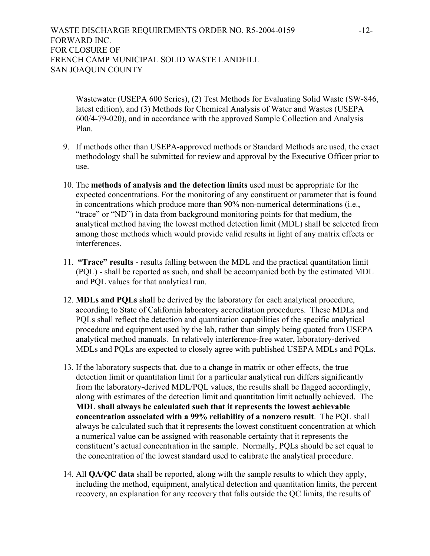# WASTE DISCHARGE REQUIREMENTS ORDER NO. R5-2004-0159 -12-FORWARD INC. FOR CLOSURE OF FRENCH CAMP MUNICIPAL SOLID WASTE LANDFILL SAN JOAQUIN COUNTY

Wastewater (USEPA 600 Series), (2) Test Methods for Evaluating Solid Waste (SW-846, latest edition), and (3) Methods for Chemical Analysis of Water and Wastes (USEPA 600/4-79-020), and in accordance with the approved Sample Collection and Analysis Plan.

- 9. If methods other than USEPA-approved methods or Standard Methods are used, the exact methodology shall be submitted for review and approval by the Executive Officer prior to use.
- 10. The **methods of analysis and the detection limits** used must be appropriate for the expected concentrations. For the monitoring of any constituent or parameter that is found in concentrations which produce more than 90% non-numerical determinations (i.e., "trace" or "ND") in data from background monitoring points for that medium, the analytical method having the lowest method detection limit (MDL) shall be selected from among those methods which would provide valid results in light of any matrix effects or interferences.
- 11. **"Trace" results** results falling between the MDL and the practical quantitation limit (PQL) - shall be reported as such, and shall be accompanied both by the estimated MDL and PQL values for that analytical run.
- 12. **MDLs and PQLs** shall be derived by the laboratory for each analytical procedure, according to State of California laboratory accreditation procedures. These MDLs and PQLs shall reflect the detection and quantitation capabilities of the specific analytical procedure and equipment used by the lab, rather than simply being quoted from USEPA analytical method manuals. In relatively interference-free water, laboratory-derived MDLs and PQLs are expected to closely agree with published USEPA MDLs and PQLs.
- 13. If the laboratory suspects that, due to a change in matrix or other effects, the true detection limit or quantitation limit for a particular analytical run differs significantly from the laboratory-derived MDL/PQL values, the results shall be flagged accordingly, along with estimates of the detection limit and quantitation limit actually achieved. The **MDL shall always be calculated such that it represents the lowest achievable concentration associated with a 99% reliability of a nonzero result**. The PQL shall always be calculated such that it represents the lowest constituent concentration at which a numerical value can be assigned with reasonable certainty that it represents the constituent's actual concentration in the sample. Normally, PQLs should be set equal to the concentration of the lowest standard used to calibrate the analytical procedure.
- 14. All **QA/QC data** shall be reported, along with the sample results to which they apply, including the method, equipment, analytical detection and quantitation limits, the percent recovery, an explanation for any recovery that falls outside the QC limits, the results of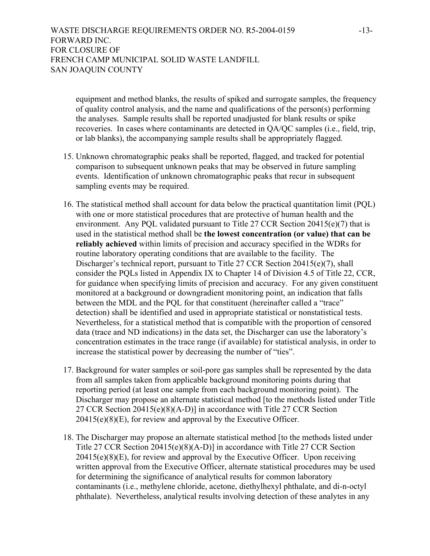WASTE DISCHARGE REQUIREMENTS ORDER NO. R5-2004-0159 -13-FORWARD INC. FOR CLOSURE OF FRENCH CAMP MUNICIPAL SOLID WASTE LANDFILL SAN JOAQUIN COUNTY

equipment and method blanks, the results of spiked and surrogate samples, the frequency of quality control analysis, and the name and qualifications of the person(s) performing the analyses. Sample results shall be reported unadjusted for blank results or spike recoveries. In cases where contaminants are detected in QA/QC samples (i.e., field, trip, or lab blanks), the accompanying sample results shall be appropriately flagged.

- 15. Unknown chromatographic peaks shall be reported, flagged, and tracked for potential comparison to subsequent unknown peaks that may be observed in future sampling events. Identification of unknown chromatographic peaks that recur in subsequent sampling events may be required.
- 16. The statistical method shall account for data below the practical quantitation limit (PQL) with one or more statistical procedures that are protective of human health and the environment. Any PQL validated pursuant to Title 27 CCR Section 20415(e)(7) that is used in the statistical method shall be **the lowest concentration (or value) that can be reliably achieved** within limits of precision and accuracy specified in the WDRs for routine laboratory operating conditions that are available to the facility. The Discharger's technical report, pursuant to Title 27 CCR Section 20415(e)(7), shall consider the PQLs listed in Appendix IX to Chapter 14 of Division 4.5 of Title 22, CCR, for guidance when specifying limits of precision and accuracy. For any given constituent monitored at a background or downgradient monitoring point, an indication that falls between the MDL and the PQL for that constituent (hereinafter called a "trace" detection) shall be identified and used in appropriate statistical or nonstatistical tests. Nevertheless, for a statistical method that is compatible with the proportion of censored data (trace and ND indications) in the data set, the Discharger can use the laboratory's concentration estimates in the trace range (if available) for statistical analysis, in order to increase the statistical power by decreasing the number of "ties".
- 17. Background for water samples or soil-pore gas samples shall be represented by the data from all samples taken from applicable background monitoring points during that reporting period (at least one sample from each background monitoring point). The Discharger may propose an alternate statistical method [to the methods listed under Title 27 CCR Section 20415(e)(8)(A-D)] in accordance with Title 27 CCR Section  $20415(e)(8)(E)$ , for review and approval by the Executive Officer.
- 18. The Discharger may propose an alternate statistical method [to the methods listed under Title 27 CCR Section 20415(e)(8)(A-D)] in accordance with Title 27 CCR Section  $20415(e)(8)(E)$ , for review and approval by the Executive Officer. Upon receiving written approval from the Executive Officer, alternate statistical procedures may be used for determining the significance of analytical results for common laboratory contaminants (i.e., methylene chloride, acetone, diethylhexyl phthalate, and di-n-octyl phthalate). Nevertheless, analytical results involving detection of these analytes in any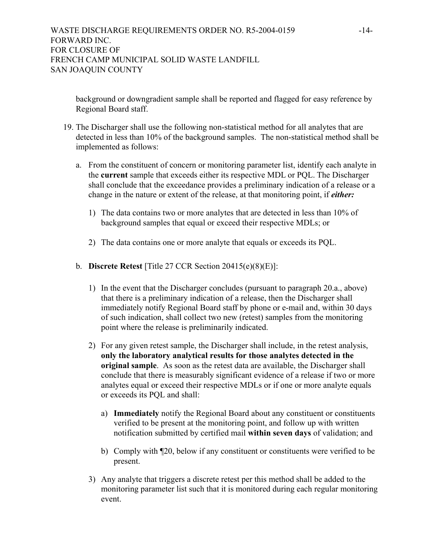background or downgradient sample shall be reported and flagged for easy reference by Regional Board staff.

- 19. The Discharger shall use the following non-statistical method for all analytes that are detected in less than 10% of the background samples. The non-statistical method shall be implemented as follows:
	- a. From the constituent of concern or monitoring parameter list, identify each analyte in the **current** sample that exceeds either its respective MDL or PQL. The Discharger shall conclude that the exceedance provides a preliminary indication of a release or a change in the nature or extent of the release, at that monitoring point, if *either:* 
		- 1) The data contains two or more analytes that are detected in less than 10% of background samples that equal or exceed their respective MDLs; or
		- 2) The data contains one or more analyte that equals or exceeds its PQL.
	- b. **Discrete Retest** [Title 27 CCR Section 20415(e)(8)(E)]:
		- 1) In the event that the Discharger concludes (pursuant to paragraph 20.a., above) that there is a preliminary indication of a release, then the Discharger shall immediately notify Regional Board staff by phone or e-mail and, within 30 days of such indication, shall collect two new (retest) samples from the monitoring point where the release is preliminarily indicated.
		- 2) For any given retest sample, the Discharger shall include, in the retest analysis, **only the laboratory analytical results for those analytes detected in the original sample**. As soon as the retest data are available, the Discharger shall conclude that there is measurably significant evidence of a release if two or more analytes equal or exceed their respective MDLs or if one or more analyte equals or exceeds its PQL and shall:
			- a) **Immediately** notify the Regional Board about any constituent or constituents verified to be present at the monitoring point, and follow up with written notification submitted by certified mail **within seven days** of validation; and
			- b) Comply with  $\mathbb{Z}^2$ , below if any constituent or constituents were verified to be present.
		- 3) Any analyte that triggers a discrete retest per this method shall be added to the monitoring parameter list such that it is monitored during each regular monitoring event.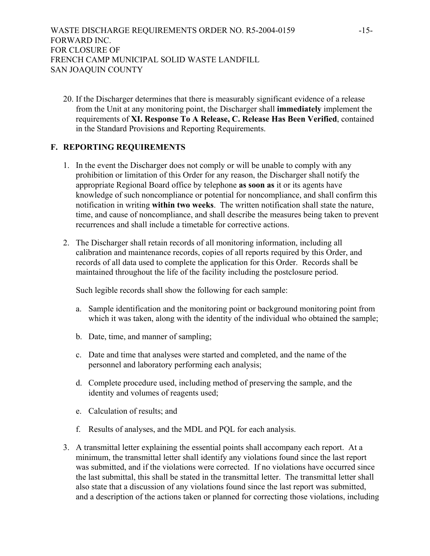20. If the Discharger determines that there is measurably significant evidence of a release from the Unit at any monitoring point, the Discharger shall **immediately** implement the requirements of **XI. Response To A Release, C. Release Has Been Verified**, contained in the Standard Provisions and Reporting Requirements.

# **F. REPORTING REQUIREMENTS**

- 1. In the event the Discharger does not comply or will be unable to comply with any prohibition or limitation of this Order for any reason, the Discharger shall notify the appropriate Regional Board office by telephone **as soon as** it or its agents have knowledge of such noncompliance or potential for noncompliance, and shall confirm this notification in writing **within two weeks**. The written notification shall state the nature, time, and cause of noncompliance, and shall describe the measures being taken to prevent recurrences and shall include a timetable for corrective actions.
- 2. The Discharger shall retain records of all monitoring information, including all calibration and maintenance records, copies of all reports required by this Order, and records of all data used to complete the application for this Order. Records shall be maintained throughout the life of the facility including the postclosure period.

Such legible records shall show the following for each sample:

- a. Sample identification and the monitoring point or background monitoring point from which it was taken, along with the identity of the individual who obtained the sample;
- b. Date, time, and manner of sampling;
- c. Date and time that analyses were started and completed, and the name of the personnel and laboratory performing each analysis;
- d. Complete procedure used, including method of preserving the sample, and the identity and volumes of reagents used;
- e. Calculation of results; and
- f. Results of analyses, and the MDL and PQL for each analysis.
- 3. A transmittal letter explaining the essential points shall accompany each report. At a minimum, the transmittal letter shall identify any violations found since the last report was submitted, and if the violations were corrected. If no violations have occurred since the last submittal, this shall be stated in the transmittal letter. The transmittal letter shall also state that a discussion of any violations found since the last report was submitted, and a description of the actions taken or planned for correcting those violations, including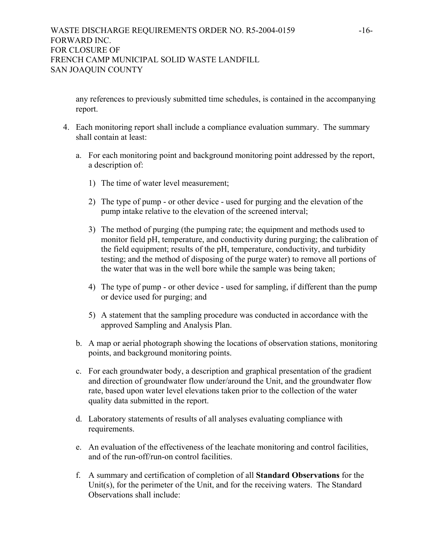any references to previously submitted time schedules, is contained in the accompanying report.

- 4. Each monitoring report shall include a compliance evaluation summary. The summary shall contain at least:
	- a. For each monitoring point and background monitoring point addressed by the report, a description of:
		- 1) The time of water level measurement;
		- 2) The type of pump or other device used for purging and the elevation of the pump intake relative to the elevation of the screened interval;
		- 3) The method of purging (the pumping rate; the equipment and methods used to monitor field pH, temperature, and conductivity during purging; the calibration of the field equipment; results of the pH, temperature, conductivity, and turbidity testing; and the method of disposing of the purge water) to remove all portions of the water that was in the well bore while the sample was being taken;
		- 4) The type of pump or other device used for sampling, if different than the pump or device used for purging; and
		- 5) A statement that the sampling procedure was conducted in accordance with the approved Sampling and Analysis Plan.
	- b. A map or aerial photograph showing the locations of observation stations, monitoring points, and background monitoring points.
	- c. For each groundwater body, a description and graphical presentation of the gradient and direction of groundwater flow under/around the Unit, and the groundwater flow rate, based upon water level elevations taken prior to the collection of the water quality data submitted in the report.
	- d. Laboratory statements of results of all analyses evaluating compliance with requirements.
	- e. An evaluation of the effectiveness of the leachate monitoring and control facilities, and of the run-off/run-on control facilities.
	- f. A summary and certification of completion of all **Standard Observations** for the Unit(s), for the perimeter of the Unit, and for the receiving waters. The Standard Observations shall include: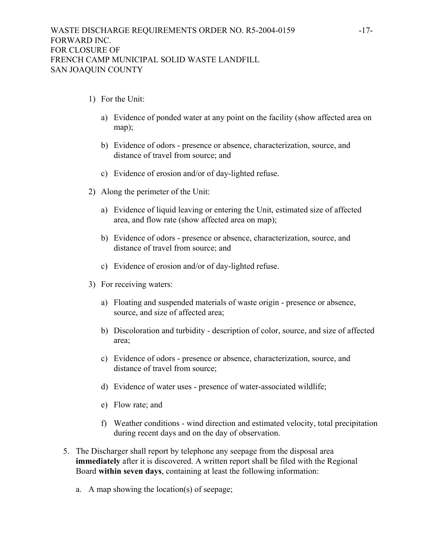- 1) For the Unit:
	- a) Evidence of ponded water at any point on the facility (show affected area on map);
	- b) Evidence of odors presence or absence, characterization, source, and distance of travel from source; and
	- c) Evidence of erosion and/or of day-lighted refuse.
- 2) Along the perimeter of the Unit:
	- a) Evidence of liquid leaving or entering the Unit, estimated size of affected area, and flow rate (show affected area on map);
	- b) Evidence of odors presence or absence, characterization, source, and distance of travel from source; and
	- c) Evidence of erosion and/or of day-lighted refuse.
- 3) For receiving waters:
	- a) Floating and suspended materials of waste origin presence or absence, source, and size of affected area;
	- b) Discoloration and turbidity description of color, source, and size of affected area;
	- c) Evidence of odors presence or absence, characterization, source, and distance of travel from source;
	- d) Evidence of water uses presence of water-associated wildlife;
	- e) Flow rate; and
	- f) Weather conditions wind direction and estimated velocity, total precipitation during recent days and on the day of observation.
- 5. The Discharger shall report by telephone any seepage from the disposal area **immediately** after it is discovered. A written report shall be filed with the Regional Board **within seven days**, containing at least the following information:
	- a. A map showing the location(s) of seepage;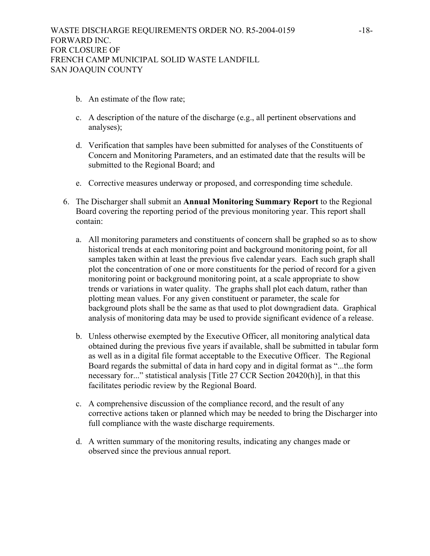- b. An estimate of the flow rate;
- c. A description of the nature of the discharge (e.g., all pertinent observations and analyses);
- d. Verification that samples have been submitted for analyses of the Constituents of Concern and Monitoring Parameters, and an estimated date that the results will be submitted to the Regional Board; and
- e. Corrective measures underway or proposed, and corresponding time schedule.
- 6. The Discharger shall submit an **Annual Monitoring Summary Report** to the Regional Board covering the reporting period of the previous monitoring year. This report shall contain:
	- a. All monitoring parameters and constituents of concern shall be graphed so as to show historical trends at each monitoring point and background monitoring point, for all samples taken within at least the previous five calendar years. Each such graph shall plot the concentration of one or more constituents for the period of record for a given monitoring point or background monitoring point, at a scale appropriate to show trends or variations in water quality. The graphs shall plot each datum, rather than plotting mean values. For any given constituent or parameter, the scale for background plots shall be the same as that used to plot downgradient data. Graphical analysis of monitoring data may be used to provide significant evidence of a release.
	- b. Unless otherwise exempted by the Executive Officer, all monitoring analytical data obtained during the previous five years if available, shall be submitted in tabular form as well as in a digital file format acceptable to the Executive Officer. The Regional Board regards the submittal of data in hard copy and in digital format as "...the form necessary for..." statistical analysis [Title 27 CCR Section 20420(h)], in that this facilitates periodic review by the Regional Board.
	- c. A comprehensive discussion of the compliance record, and the result of any corrective actions taken or planned which may be needed to bring the Discharger into full compliance with the waste discharge requirements.
	- d. A written summary of the monitoring results, indicating any changes made or observed since the previous annual report.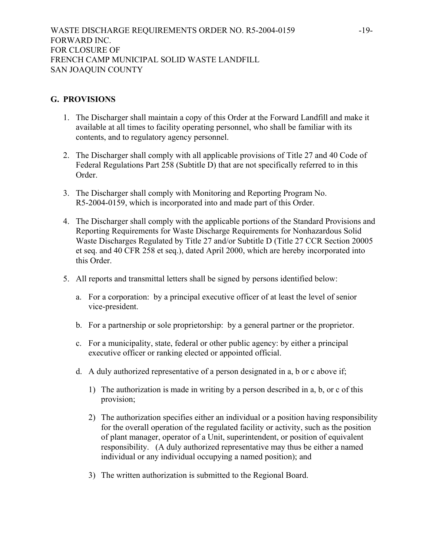# **G. PROVISIONS**

- 1. The Discharger shall maintain a copy of this Order at the Forward Landfill and make it available at all times to facility operating personnel, who shall be familiar with its contents, and to regulatory agency personnel.
- 2. The Discharger shall comply with all applicable provisions of Title 27 and 40 Code of Federal Regulations Part 258 (Subtitle D) that are not specifically referred to in this Order.
- 3. The Discharger shall comply with Monitoring and Reporting Program No. R5-2004-0159, which is incorporated into and made part of this Order.
- 4. The Discharger shall comply with the applicable portions of the Standard Provisions and Reporting Requirements for Waste Discharge Requirements for Nonhazardous Solid Waste Discharges Regulated by Title 27 and/or Subtitle D (Title 27 CCR Section 20005 et seq. and 40 CFR 258 et seq.), dated April 2000, which are hereby incorporated into this Order.
- 5. All reports and transmittal letters shall be signed by persons identified below:
	- a. For a corporation: by a principal executive officer of at least the level of senior vice-president.
	- b. For a partnership or sole proprietorship: by a general partner or the proprietor.
	- c. For a municipality, state, federal or other public agency: by either a principal executive officer or ranking elected or appointed official.
	- d. A duly authorized representative of a person designated in a, b or c above if;
		- 1) The authorization is made in writing by a person described in a, b, or c of this provision;
		- 2) The authorization specifies either an individual or a position having responsibility for the overall operation of the regulated facility or activity, such as the position of plant manager, operator of a Unit, superintendent, or position of equivalent responsibility. (A duly authorized representative may thus be either a named individual or any individual occupying a named position); and
		- 3) The written authorization is submitted to the Regional Board.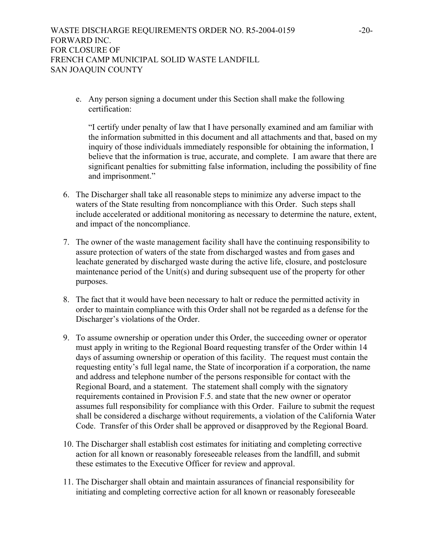e. Any person signing a document under this Section shall make the following certification:

"I certify under penalty of law that I have personally examined and am familiar with the information submitted in this document and all attachments and that, based on my inquiry of those individuals immediately responsible for obtaining the information, I believe that the information is true, accurate, and complete. I am aware that there are significant penalties for submitting false information, including the possibility of fine and imprisonment."

- 6. The Discharger shall take all reasonable steps to minimize any adverse impact to the waters of the State resulting from noncompliance with this Order. Such steps shall include accelerated or additional monitoring as necessary to determine the nature, extent, and impact of the noncompliance.
- 7. The owner of the waste management facility shall have the continuing responsibility to assure protection of waters of the state from discharged wastes and from gases and leachate generated by discharged waste during the active life, closure, and postclosure maintenance period of the Unit(s) and during subsequent use of the property for other purposes.
- 8. The fact that it would have been necessary to halt or reduce the permitted activity in order to maintain compliance with this Order shall not be regarded as a defense for the Discharger's violations of the Order.
- 9. To assume ownership or operation under this Order, the succeeding owner or operator must apply in writing to the Regional Board requesting transfer of the Order within 14 days of assuming ownership or operation of this facility. The request must contain the requesting entity's full legal name, the State of incorporation if a corporation, the name and address and telephone number of the persons responsible for contact with the Regional Board, and a statement. The statement shall comply with the signatory requirements contained in Provision F.5. and state that the new owner or operator assumes full responsibility for compliance with this Order. Failure to submit the request shall be considered a discharge without requirements, a violation of the California Water Code. Transfer of this Order shall be approved or disapproved by the Regional Board.
- 10. The Discharger shall establish cost estimates for initiating and completing corrective action for all known or reasonably foreseeable releases from the landfill, and submit these estimates to the Executive Officer for review and approval.
- 11. The Discharger shall obtain and maintain assurances of financial responsibility for initiating and completing corrective action for all known or reasonably foreseeable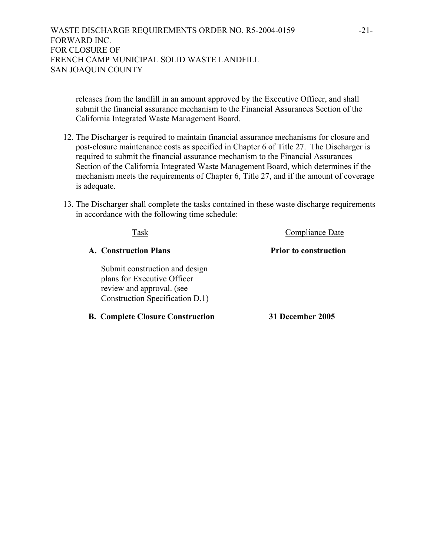releases from the landfill in an amount approved by the Executive Officer, and shall submit the financial assurance mechanism to the Financial Assurances Section of the California Integrated Waste Management Board.

- 12. The Discharger is required to maintain financial assurance mechanisms for closure and post-closure maintenance costs as specified in Chapter 6 of Title 27. The Discharger is required to submit the financial assurance mechanism to the Financial Assurances Section of the California Integrated Waste Management Board, which determines if the mechanism meets the requirements of Chapter 6, Title 27, and if the amount of coverage is adequate.
- 13. The Discharger shall complete the tasks contained in these waste discharge requirements in accordance with the following time schedule:

| Task                                                                                                                          | Compliance Date              |
|-------------------------------------------------------------------------------------------------------------------------------|------------------------------|
| <b>A.</b> Construction Plans                                                                                                  | <b>Prior to construction</b> |
| Submit construction and design<br>plans for Executive Officer<br>review and approval. (see<br>Construction Specification D.1) |                              |
| <b>B. Complete Closure Construction</b>                                                                                       | <b>31 December 2005</b>      |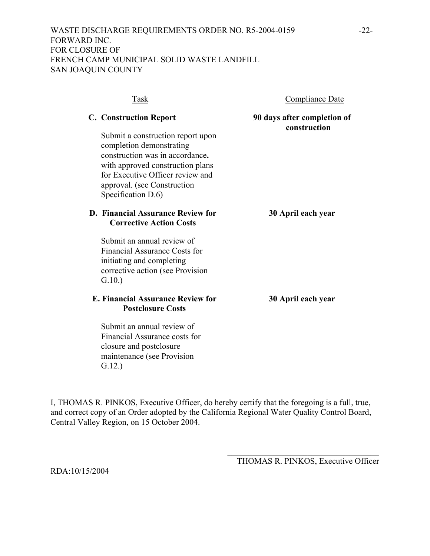| Task                                                                                                                                                                                                                          | <b>Compliance Date</b>                      |
|-------------------------------------------------------------------------------------------------------------------------------------------------------------------------------------------------------------------------------|---------------------------------------------|
| <b>C. Construction Report</b>                                                                                                                                                                                                 | 90 days after completion of<br>construction |
| Submit a construction report upon<br>completion demonstrating<br>construction was in accordance.<br>with approved construction plans<br>for Executive Officer review and<br>approval. (see Construction<br>Specification D.6) |                                             |
| <b>D.</b> Financial Assurance Review for<br><b>Corrective Action Costs</b>                                                                                                                                                    | 30 April each year                          |
| Submit an annual review of<br><b>Financial Assurance Costs for</b><br>initiating and completing<br>corrective action (see Provision<br>G.10.                                                                                  |                                             |
| E. Financial Assurance Review for<br><b>Postclosure Costs</b>                                                                                                                                                                 | 30 April each year                          |
| Submit an annual review of<br>Financial Assurance costs for<br>closure and postclosure<br>maintenance (see Provision                                                                                                          |                                             |

I, THOMAS R. PINKOS, Executive Officer, do hereby certify that the foregoing is a full, true, and correct copy of an Order adopted by the California Regional Water Quality Control Board, Central Valley Region, on 15 October 2004.

> \_\_\_\_\_\_\_\_\_\_\_\_\_\_\_\_\_\_\_\_\_\_\_\_\_\_\_\_\_\_\_\_\_\_\_\_ THOMAS R. PINKOS, Executive Officer

RDA:10/15/2004

G.12.)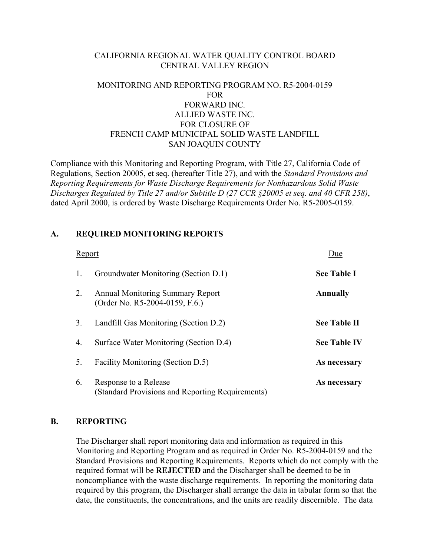# CALIFORNIA REGIONAL WATER QUALITY CONTROL BOARD CENTRAL VALLEY REGION

# MONITORING AND REPORTING PROGRAM NO. R5-2004-0159 FOR FORWARD INC. ALLIED WASTE INC. FOR CLOSURE OF FRENCH CAMP MUNICIPAL SOLID WASTE LANDFILL SAN JOAQUIN COUNTY

Compliance with this Monitoring and Reporting Program, with Title 27, California Code of Regulations, Section 20005, et seq. (hereafter Title 27), and with the *Standard Provisions and Reporting Requirements for Waste Discharge Requirements for Nonhazardous Solid Waste Discharges Regulated by Title 27 and/or Subtitle D (27 CCR §20005 et seq. and 40 CFR 258)*, dated April 2000, is ordered by Waste Discharge Requirements Order No. R5-2005-0159.

# **A. REQUIRED MONITORING REPORTS**

| Report |                                                                           | Due                 |
|--------|---------------------------------------------------------------------------|---------------------|
| 1.     | Groundwater Monitoring (Section D.1)                                      | <b>See Table I</b>  |
| 2.     | <b>Annual Monitoring Summary Report</b><br>(Order No. R5-2004-0159, F.6.) | Annually            |
| 3.     | Landfill Gas Monitoring (Section D.2)                                     | <b>See Table II</b> |
| 4.     | Surface Water Monitoring (Section D.4)                                    | <b>See Table IV</b> |
| 5.     | Facility Monitoring (Section D.5)                                         | As necessary        |
| 6.     | Response to a Release<br>(Standard Provisions and Reporting Requirements) | As necessary        |

# **B. REPORTING**

 The Discharger shall report monitoring data and information as required in this Monitoring and Reporting Program and as required in Order No. R5-2004-0159 and the Standard Provisions and Reporting Requirements. Reports which do not comply with the required format will be **REJECTED** and the Discharger shall be deemed to be in noncompliance with the waste discharge requirements. In reporting the monitoring data required by this program, the Discharger shall arrange the data in tabular form so that the date, the constituents, the concentrations, and the units are readily discernible. The data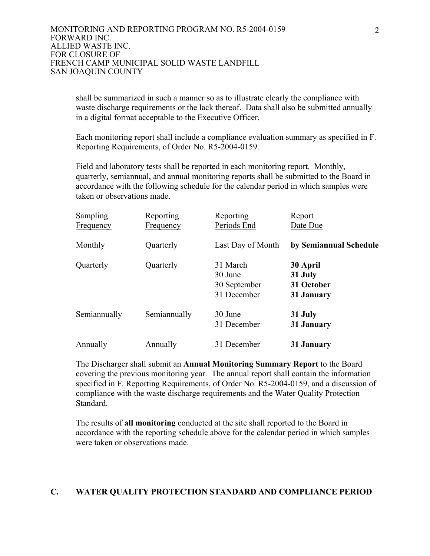shall be summarized in such a manner so as to illustrate clearly the compliance with waste discharge requirements or the lack thereof. Data shall also be submitted annually in a digital format acceptable to the Executive Officer.

 Each monitoring report shall include a compliance evaluation summary as specified in F. Reporting Requirements, of Order No. R5-2004-0159.

 Field and laboratory tests shall be reported in each monitoring report. Monthly, quarterly, semiannual, and annual monitoring reports shall be submitted to the Board in accordance with the following schedule for the calendar period in which samples were taken or observations made.

| <b>Sampling</b><br><b>Frequency</b> | Reporting<br>Frequency | Reporting<br>Periods End                           | Report<br>Date Due                              |
|-------------------------------------|------------------------|----------------------------------------------------|-------------------------------------------------|
| Monthly                             | Quarterly              | Last Day of Month                                  | by Semiannual Schedule                          |
| Quarterly                           | Quarterly              | 31 March<br>30 June<br>30 September<br>31 December | 30 April<br>31 July<br>31 October<br>31 January |
| Semiannually                        | Semiannually           | 30 June<br>31 December                             | 31 July<br>31 January                           |
| Annually                            | Annually               | 31 December                                        | 31 January                                      |

 The Discharger shall submit an **Annual Monitoring Summary Report** to the Board covering the previous monitoring year. The annual report shall contain the information specified in F. Reporting Requirements, of Order No. R5-2004-0159, and a discussion of compliance with the waste discharge requirements and the Water Quality Protection Standard.

 The results of **all monitoring** conducted at the site shall reported to the Board in accordance with the reporting schedule above for the calendar period in which samples were taken or observations made.

# **C. WATER QUALITY PROTECTION STANDARD AND COMPLIANCE PERIOD**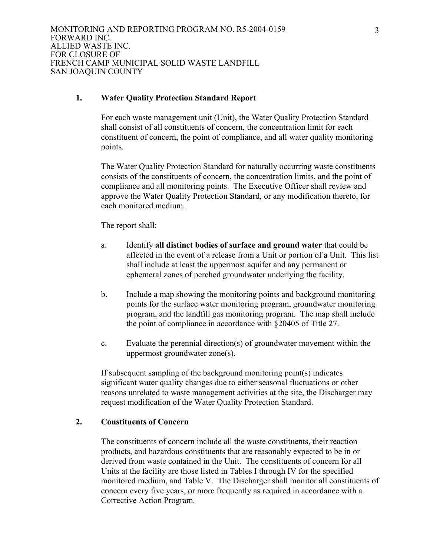# **1. Water Quality Protection Standard Report**

 For each waste management unit (Unit), the Water Quality Protection Standard shall consist of all constituents of concern, the concentration limit for each constituent of concern, the point of compliance, and all water quality monitoring points.

 The Water Quality Protection Standard for naturally occurring waste constituents consists of the constituents of concern, the concentration limits, and the point of compliance and all monitoring points. The Executive Officer shall review and approve the Water Quality Protection Standard, or any modification thereto, for each monitored medium.

The report shall:

- a. Identify **all distinct bodies of surface and ground water** that could be affected in the event of a release from a Unit or portion of a Unit. This list shall include at least the uppermost aquifer and any permanent or ephemeral zones of perched groundwater underlying the facility.
- b. Include a map showing the monitoring points and background monitoring points for the surface water monitoring program, groundwater monitoring program, and the landfill gas monitoring program. The map shall include the point of compliance in accordance with §20405 of Title 27.
- c. Evaluate the perennial direction(s) of groundwater movement within the uppermost groundwater zone(s).

 If subsequent sampling of the background monitoring point(s) indicates significant water quality changes due to either seasonal fluctuations or other reasons unrelated to waste management activities at the site, the Discharger may request modification of the Water Quality Protection Standard.

# **2. Constituents of Concern**

 The constituents of concern include all the waste constituents, their reaction products, and hazardous constituents that are reasonably expected to be in or derived from waste contained in the Unit. The constituents of concern for all Units at the facility are those listed in Tables I through IV for the specified monitored medium, and Table V. The Discharger shall monitor all constituents of concern every five years, or more frequently as required in accordance with a Corrective Action Program.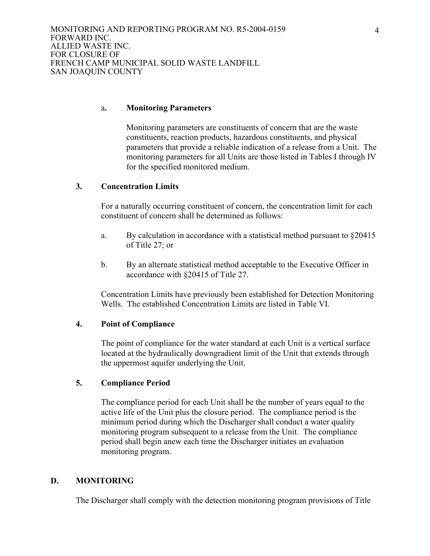#### a**. Monitoring Parameters**

 Monitoring parameters are constituents of concern that are the waste constituents, reaction products, hazardous constituents, and physical parameters that provide a reliable indication of a release from a Unit. The monitoring parameters for all Units are those listed in Tables I through IV for the specified monitored medium.

# **3. Concentration Limits**

 For a naturally occurring constituent of concern, the concentration limit for each constituent of concern shall be determined as follows:

- a. By calculation in accordance with a statistical method pursuant to §20415 of Title 27; or
- b. By an alternate statistical method acceptable to the Executive Officer in accordance with §20415 of Title 27.

 Concentration Limits have previously been established for Detection Monitoring Wells. The established Concentration Limits are listed in Table VI.

#### **4. Point of Compliance**

 The point of compliance for the water standard at each Unit is a vertical surface located at the hydraulically downgradient limit of the Unit that extends through the uppermost aquifer underlying the Unit.

# **5. Compliance Period**

 The compliance period for each Unit shall be the number of years equal to the active life of the Unit plus the closure period. The compliance period is the minimum period during which the Discharger shall conduct a water quality monitoring program subsequent to a release from the Unit. The compliance period shall begin anew each time the Discharger initiates an evaluation monitoring program.

#### **D. MONITORING**

The Discharger shall comply with the detection monitoring program provisions of Title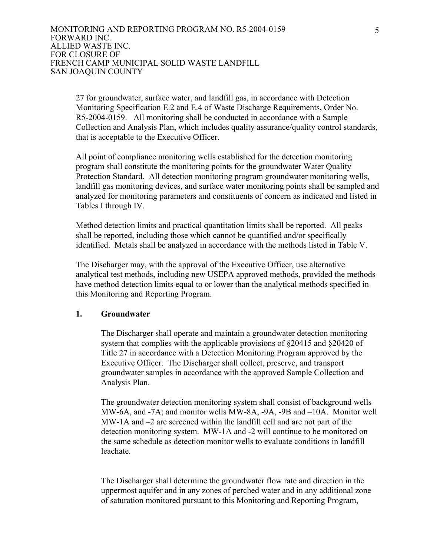27 for groundwater, surface water, and landfill gas, in accordance with Detection Monitoring Specification E.2 and E.4 of Waste Discharge Requirements, Order No. R5-2004-0159. All monitoring shall be conducted in accordance with a Sample Collection and Analysis Plan, which includes quality assurance/quality control standards, that is acceptable to the Executive Officer.

All point of compliance monitoring wells established for the detection monitoring program shall constitute the monitoring points for the groundwater Water Quality Protection Standard. All detection monitoring program groundwater monitoring wells, landfill gas monitoring devices, and surface water monitoring points shall be sampled and analyzed for monitoring parameters and constituents of concern as indicated and listed in Tables I through IV.

Method detection limits and practical quantitation limits shall be reported. All peaks shall be reported, including those which cannot be quantified and/or specifically identified. Metals shall be analyzed in accordance with the methods listed in Table V.

The Discharger may, with the approval of the Executive Officer, use alternative analytical test methods, including new USEPA approved methods, provided the methods have method detection limits equal to or lower than the analytical methods specified in this Monitoring and Reporting Program.

# **1. Groundwater**

The Discharger shall operate and maintain a groundwater detection monitoring system that complies with the applicable provisions of §20415 and §20420 of Title 27 in accordance with a Detection Monitoring Program approved by the Executive Officer. The Discharger shall collect, preserve, and transport groundwater samples in accordance with the approved Sample Collection and Analysis Plan.

The groundwater detection monitoring system shall consist of background wells MW-6A, and -7A; and monitor wells MW-8A, -9A, -9B and –10A. Monitor well MW-1A and –2 are screened within the landfill cell and are not part of the detection monitoring system. MW-1A and -2 will continue to be monitored on the same schedule as detection monitor wells to evaluate conditions in landfill leachate.

The Discharger shall determine the groundwater flow rate and direction in the uppermost aquifer and in any zones of perched water and in any additional zone of saturation monitored pursuant to this Monitoring and Reporting Program,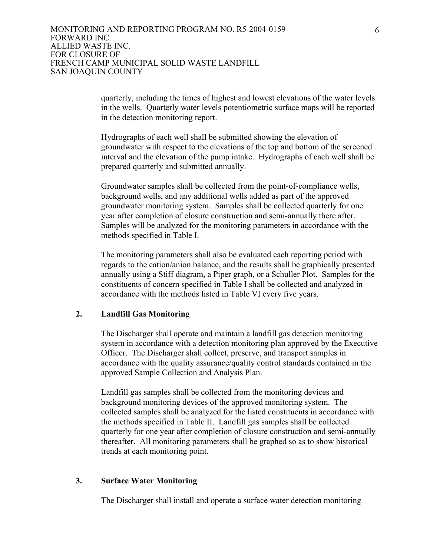quarterly, including the times of highest and lowest elevations of the water levels in the wells. Quarterly water levels potentiometric surface maps will be reported in the detection monitoring report.

Hydrographs of each well shall be submitted showing the elevation of groundwater with respect to the elevations of the top and bottom of the screened interval and the elevation of the pump intake. Hydrographs of each well shall be prepared quarterly and submitted annually.

Groundwater samples shall be collected from the point-of-compliance wells, background wells, and any additional wells added as part of the approved groundwater monitoring system. Samples shall be collected quarterly for one year after completion of closure construction and semi-annually there after. Samples will be analyzed for the monitoring parameters in accordance with the methods specified in Table I.

The monitoring parameters shall also be evaluated each reporting period with regards to the cation/anion balance, and the results shall be graphically presented annually using a Stiff diagram, a Piper graph, or a Schuller Plot. Samples for the constituents of concern specified in Table I shall be collected and analyzed in accordance with the methods listed in Table VI every five years.

# **2. Landfill Gas Monitoring**

The Discharger shall operate and maintain a landfill gas detection monitoring system in accordance with a detection monitoring plan approved by the Executive Officer. The Discharger shall collect, preserve, and transport samples in accordance with the quality assurance/quality control standards contained in the approved Sample Collection and Analysis Plan.

Landfill gas samples shall be collected from the monitoring devices and background monitoring devices of the approved monitoring system. The collected samples shall be analyzed for the listed constituents in accordance with the methods specified in Table II. Landfill gas samples shall be collected quarterly for one year after completion of closure construction and semi-annually thereafter. All monitoring parameters shall be graphed so as to show historical trends at each monitoring point.

#### **3. Surface Water Monitoring**

The Discharger shall install and operate a surface water detection monitoring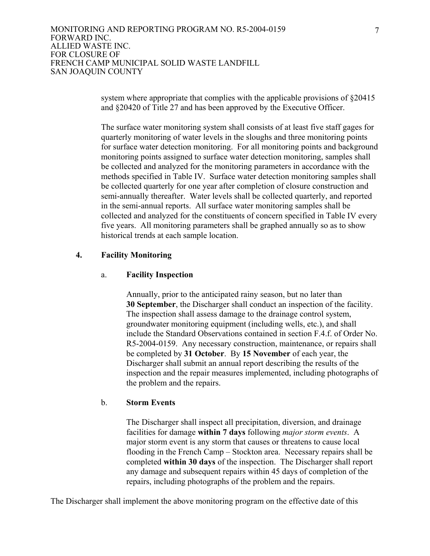> system where appropriate that complies with the applicable provisions of §20415 and §20420 of Title 27 and has been approved by the Executive Officer.

The surface water monitoring system shall consists of at least five staff gages for quarterly monitoring of water levels in the sloughs and three monitoring points for surface water detection monitoring. For all monitoring points and background monitoring points assigned to surface water detection monitoring, samples shall be collected and analyzed for the monitoring parameters in accordance with the methods specified in Table IV. Surface water detection monitoring samples shall be collected quarterly for one year after completion of closure construction and semi-annually thereafter. Water levels shall be collected quarterly, and reported in the semi-annual reports. All surface water monitoring samples shall be collected and analyzed for the constituents of concern specified in Table IV every five years. All monitoring parameters shall be graphed annually so as to show historical trends at each sample location.

# **4. Facility Monitoring**

#### a. **Facility Inspection**

Annually, prior to the anticipated rainy season, but no later than **30 September**, the Discharger shall conduct an inspection of the facility. The inspection shall assess damage to the drainage control system, groundwater monitoring equipment (including wells, etc.), and shall include the Standard Observations contained in section F.4.f. of Order No. R5-2004-0159. Any necessary construction, maintenance, or repairs shall be completed by **31 October**. By **15 November** of each year, the Discharger shall submit an annual report describing the results of the inspection and the repair measures implemented, including photographs of the problem and the repairs.

#### b. **Storm Events**

The Discharger shall inspect all precipitation, diversion, and drainage facilities for damage **within 7 days** following *major storm events*. A major storm event is any storm that causes or threatens to cause local flooding in the French Camp – Stockton area. Necessary repairs shall be completed **within 30 days** of the inspection. The Discharger shall report any damage and subsequent repairs within 45 days of completion of the repairs, including photographs of the problem and the repairs.

The Discharger shall implement the above monitoring program on the effective date of this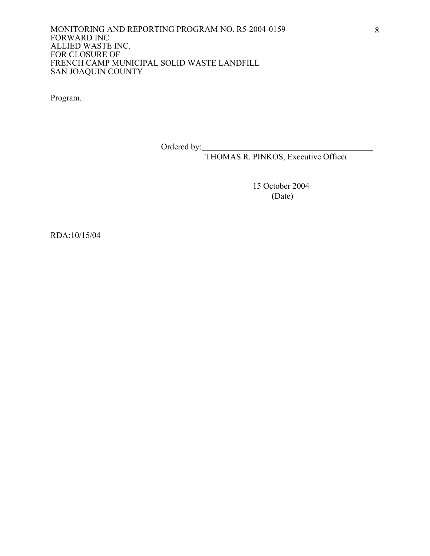Program.

Ordered by:

THOMAS R. PINKOS, Executive Officer

15 October 2004

(Date)

RDA:10/15/04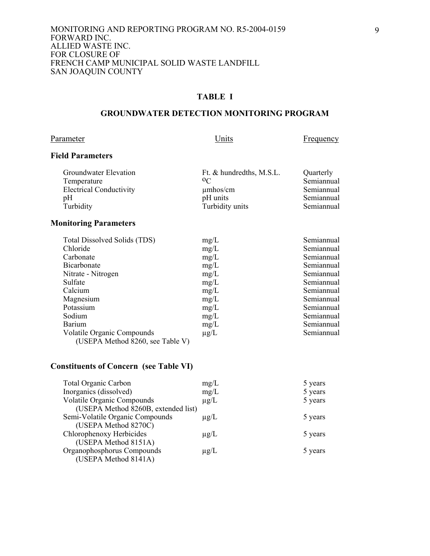# **TABLE I**

# **GROUNDWATER DETECTION MONITORING PROGRAM**

## Parameter **Example 2** Units **Example 2** Units **Example 2** Example 2 Units

# **Field Parameters**

| Groundwater Elevation          | Ft. & hundredths, M.S.L. | Quarterly  |
|--------------------------------|--------------------------|------------|
| Temperature                    | 0 <sup>C</sup>           | Semiannual |
| <b>Electrical Conductivity</b> | $\mu$ mhos/cm            | Semiannual |
| pΗ                             | pH units                 | Semiannual |
| Turbidity                      | Turbidity units          | Semiannual |
|                                |                          |            |

# **Monitoring Parameters**

| mg/L      | Semiannual |
|-----------|------------|
| mg/L      | Semiannual |
| mg/L      | Semiannual |
| mg/L      | Semiannual |
| mg/L      | Semiannual |
| mg/L      | Semiannual |
| mg/L      | Semiannual |
| mg/L      | Semiannual |
| mg/L      | Semiannual |
| mg/L      | Semiannual |
| mg/L      | Semiannual |
| $\mu$ g/L | Semiannual |
|           |            |

# **Constituents of Concern (see Table VI)**

| mg/L      | 5 years |
|-----------|---------|
| mg/L      | 5 years |
| $\mu$ g/L | 5 years |
|           |         |
| $\mu$ g/L | 5 years |
|           |         |
| $\mu$ g/L | 5 years |
|           |         |
| $\mu$ g/L | 5 years |
|           |         |
|           |         |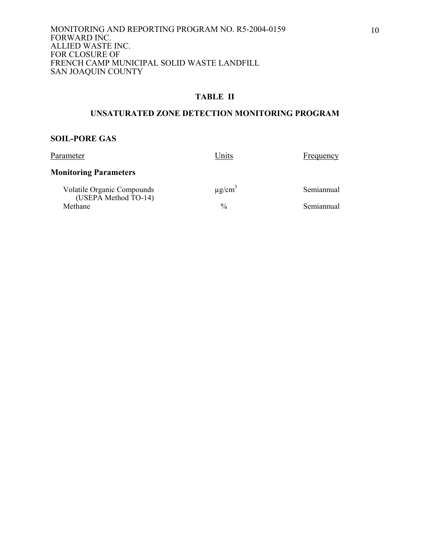# **TABLE II**

# **UNSATURATED ZONE DETECTION MONITORING PROGRAM**

#### **SOIL-PORE GAS**

| Parameter                                          | Units                   | Frequency  |
|----------------------------------------------------|-------------------------|------------|
| <b>Monitoring Parameters</b>                       |                         |            |
| Volatile Organic Compounds<br>(USEPA Method TO-14) | $\mu$ g/cm <sup>3</sup> | Semiannual |
| Methane                                            | $\frac{0}{0}$           | Semiannual |
|                                                    |                         |            |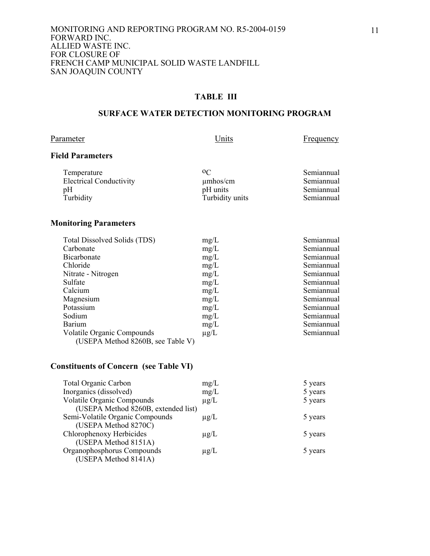# **TABLE III**

# **SURFACE WATER DETECTION MONITORING PROGRAM**

## Parameter **Example 2** Units **Example 2** Units **Example 2** Example 2 Units

# **Field Parameters**

| Temperature                    | 0 <sup>C</sup>  | Semiannual |
|--------------------------------|-----------------|------------|
| <b>Electrical Conductivity</b> | $\mu$ mhos/cm   | Semiannual |
| pΗ                             | pH units        | Semiannual |
| Turbidity                      | Turbidity units | Semiannual |

# **Monitoring Parameters**

| Total Dissolved Solids (TDS)      | mg/L      | Semiannual |
|-----------------------------------|-----------|------------|
| Carbonate                         | mg/L      | Semiannual |
| <b>Bicarbonate</b>                | mg/L      | Semiannual |
| Chloride                          | mg/L      | Semiannual |
| Nitrate - Nitrogen                | mg/L      | Semiannual |
| Sulfate                           | mg/L      | Semiannual |
| Calcium                           | mg/L      | Semiannual |
| Magnesium                         | mg/L      | Semiannual |
| Potassium                         | mg/L      | Semiannual |
| Sodium                            | mg/L      | Semiannual |
| <b>Barium</b>                     | mg/L      | Semiannual |
| Volatile Organic Compounds        | $\mu$ g/L | Semiannual |
| (USEPA Method 8260B, see Table V) |           |            |

# **Constituents of Concern (see Table VI)**

| mg/L                                | 5 years |
|-------------------------------------|---------|
| mg/L                                | 5 years |
| $\mu$ g/L                           | 5 years |
|                                     |         |
| $\mu$ g/L                           | 5 years |
|                                     |         |
| $\mu$ g/L                           | 5 years |
|                                     |         |
| $\mu$ g/L                           | 5 years |
|                                     |         |
| (USEPA Method 8260B, extended list) |         |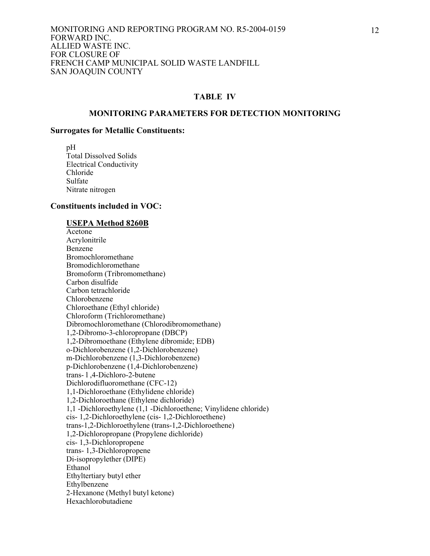#### **TABLE IV**

#### **MONITORING PARAMETERS FOR DETECTION MONITORING**

#### **Surrogates for Metallic Constituents:**

 pH Total Dissolved Solids Electrical Conductivity Chloride Sulfate Nitrate nitrogen

#### **Constituents included in VOC:**

#### **USEPA Method 8260B**

 Acetone Acrylonitrile Benzene Bromochloromethane Bromodichloromethane Bromoform (Tribromomethane) Carbon disulfide Carbon tetrachloride Chlorobenzene Chloroethane (Ethyl chloride) Chloroform (Trichloromethane) Dibromochloromethane (Chlorodibromomethane) 1,2-Dibromo-3-chloropropane (DBCP) 1,2-Dibromoethane (Ethylene dibromide; EDB) o-Dichlorobenzene (1,2-Dichlorobenzene) m-Dichlorobenzene (1,3-Dichlorobenzene) p-Dichlorobenzene (1,4-Dichlorobenzene) trans- l ,4-Dichloro-2-butene Dichlorodifluoromethane (CFC-12) 1,1-Dichloroethane (Ethylidene chloride) 1,2-Dichloroethane (Ethylene dichloride) 1,1 -Dichloroethylene (1,1 -Dichloroethene; Vinylidene chloride) cis- 1,2-Dichloroethylene (cis- 1,2-Dichloroethene) trans-1,2-Dichloroethylene (trans-1,2-Dichloroethene) 1,2-Dichloropropane (Propylene dichloride) cis- 1,3-Dichloropropene trans- 1,3-Dichloropropene Di-isopropylether (DIPE) Ethanol Ethyltertiary butyl ether Ethylbenzene 2-Hexanone (Methyl butyl ketone) Hexachlorobutadiene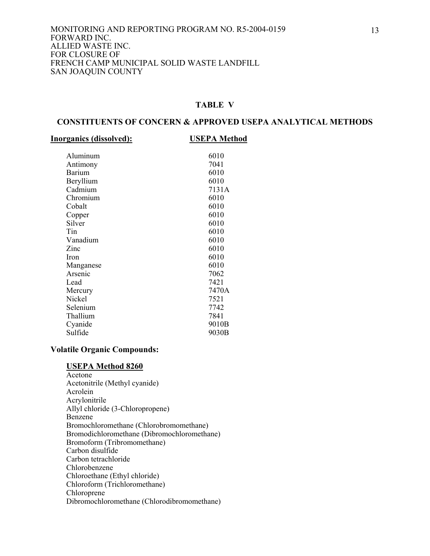# **TABLE V**

#### **CONSTITUENTS OF CONCERN & APPROVED USEPA ANALYTICAL METHODS**

#### **Inorganics (dissolved): USEPA Method**

| Aluminum      | 6010  |
|---------------|-------|
| Antimony      | 7041  |
| <b>Barium</b> | 6010  |
| Beryllium     | 6010  |
| Cadmium       | 7131A |
| Chromium      | 6010  |
| Cobalt        | 6010  |
| Copper        | 6010  |
| Silver        | 6010  |
| Tin           | 6010  |
| Vanadium      | 6010  |
| Zinc          | 6010  |
| <b>Iron</b>   | 6010  |
| Manganese     | 6010  |
| Arsenic       | 7062  |
| Lead          | 7421  |
| Mercury       | 7470A |
| Nickel        | 7521  |
| Selenium      | 7742  |
| Thallium      | 7841  |
| Cyanide       | 9010B |
| Sulfide       | 9030B |
|               |       |

## **Volatile Organic Compounds:**

#### **USEPA Method 8260**

 Acetone Acetonitrile (Methyl cyanide) Acrolein Acrylonitrile Allyl chloride (3-Chloropropene) Benzene Bromochloromethane (Chlorobromomethane) Bromodichloromethane (Dibromochloromethane) Bromoform (Tribromomethane) Carbon disulfide Carbon tetrachloride Chlorobenzene Chloroethane (Ethyl chloride) Chloroform (Trichloromethane) Chloroprene Dibromochloromethane (Chlorodibromomethane)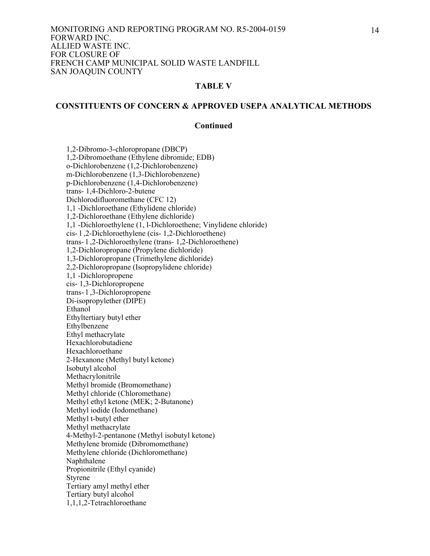#### **TABLE V**

#### **CONSTITUENTS OF CONCERN & APPROVED USEPA ANALYTICAL METHODS**

#### **Continued**

 1,2-Dibromo-3-chloropropane (DBCP) 1,2-Dibromoethane (Ethylene dibromide; EDB) o-Dichlorobenzene (1,2-Dichlorobenzene) m-Dichlorobenzene (1,3-Dichlorobenzene) p-Dichlorobenzene (1,4-Dichlorobenzene) trans- 1,4-Dichloro-2-butene Dichlorodifluoromethane (CFC 12) 1,1 -Dichloroethane (Ethylidene chloride) 1,2-Dichloroethane (Ethylene dichloride) 1,1 -Dichloroethylene (1, l-Dichloroethene; Vinylidene chloride) cis- l ,2-Dichloroethylene (cis- 1,2-Dichloroethene) trans- l ,2-Dichloroethylene (trans- 1,2-Dichloroethene) 1,2-Dichloropropane (Propylene dichloride) 1,3-Dichloropropane (Trimethylene dichloride) 2,2-Dichloropropane (Isopropylidene chloride) 1,1 -Dichloropropene cis- 1,3-Dichloropropene trans- l ,3-Dichloropropene Di-isopropylether (DIPE) Ethanol Ethyltertiary butyl ether Ethylbenzene Ethyl methacrylate Hexachlorobutadiene Hexachloroethane 2-Hexanone (Methyl butyl ketone) Isobutyl alcohol Methacrylonitrile Methyl bromide (Bromomethane) Methyl chloride (Chloromethane) Methyl ethyl ketone (MEK; 2-Butanone) Methyl iodide (Iodomethane) Methyl t-butyl ether Methyl methacrylate 4-Methyl-2-pentanone (Methyl isobutyl ketone) Methylene bromide (Dibromomethane) Methylene chloride (Dichloromethane) Naphthalene Propionitrile (Ethyl cyanide) Styrene Tertiary amyl methyl ether Tertiary butyl alcohol 1,1,1,2-Tetrachloroethane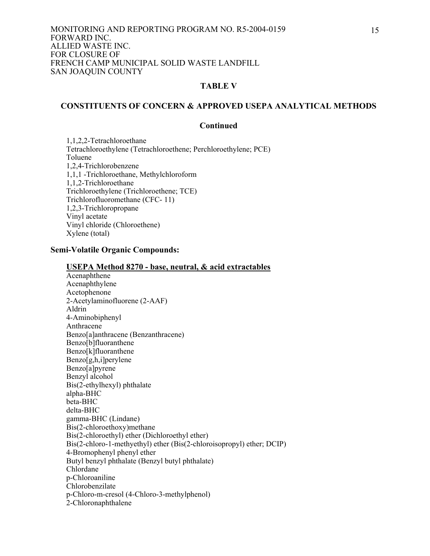## **TABLE V**

# **CONSTITUENTS OF CONCERN & APPROVED USEPA ANALYTICAL METHODS**

## **Continued**

 1,1,2,2-Tetrachloroethane Tetrachloroethylene (Tetrachloroethene; Perchloroethylene; PCE) Toluene 1,2,4-Trichlorobenzene 1,1,1 -Trichloroethane, Methylchloroform 1,1,2-Trichloroethane Trichloroethylene (Trichloroethene; TCE) Trichlorofluoromethane (CFC- 11) 1,2,3-Trichloropropane Vinyl acetate Vinyl chloride (Chloroethene) Xylene (total)

## **Semi-Volatile Organic Compounds:**

#### **USEPA Method 8270 - base, neutral, & acid extractables**

 Acenaphthene Acenaphthylene Acetophenone 2-Acetylaminofluorene (2-AAF) Aldrin 4-Aminobiphenyl Anthracene Benzo[a]anthracene (Benzanthracene) Benzo[b]fluoranthene Benzo[k]fluoranthene Benzo[g,h,i]perylene Benzo[a]pyrene Benzyl alcohol Bis(2-ethylhexyl) phthalate alpha-BHC beta-BHC delta-BHC gamma-BHC (Lindane) Bis(2-chloroethoxy)methane Bis(2-chloroethyl) ether (Dichloroethyl ether) Bis(2-chloro-1-methyethyl) ether (Bis(2-chloroisopropyl) ether; DCIP) 4-Bromophenyl phenyl ether Butyl benzyl phthalate (Benzyl butyl phthalate) Chlordane p-Chloroaniline Chlorobenzilate p-Chloro-m-cresol (4-Chloro-3-methylphenol) 2-Chloronaphthalene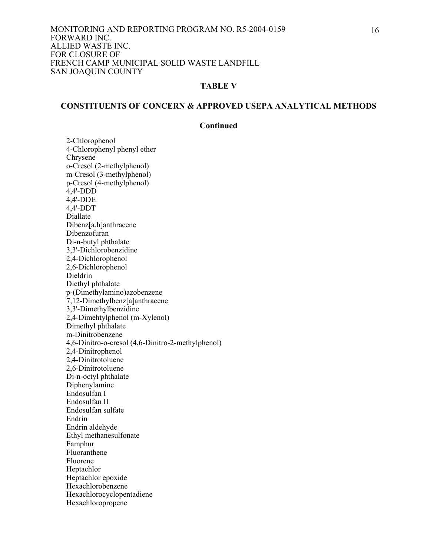## **TABLE V**

#### **CONSTITUENTS OF CONCERN & APPROVED USEPA ANALYTICAL METHODS**

## **Continued**

 2-Chlorophenol 4-Chlorophenyl phenyl ether Chrysene o-Cresol (2-methylphenol) m-Cresol (3-methylphenol) p-Cresol (4-methylphenol) 4,4'-DDD 4,4'-DDE 4,4'-DDT Diallate Dibenz[a,h]anthracene Dibenzofuran Di-n-butyl phthalate 3,3'-Dichlorobenzidine 2,4-Dichlorophenol 2,6-Dichlorophenol Dieldrin Diethyl phthalate p-(Dimethylamino)azobenzene 7,12-Dimethylbenz[a]anthracene 3,3'-Dimethylbenzidine 2,4-Dimehtylphenol (m-Xylenol) Dimethyl phthalate m-Dinitrobenzene 4,6-Dinitro-o-cresol (4,6-Dinitro-2-methylphenol) 2,4-Dinitrophenol 2,4-Dinitrotoluene 2,6-Dinitrotoluene Di-n-octyl phthalate Diphenylamine Endosulfan I Endosulfan II Endosulfan sulfate Endrin Endrin aldehyde Ethyl methanesulfonate Famphur Fluoranthene Fluorene Heptachlor Heptachlor epoxide Hexachlorobenzene Hexachlorocyclopentadiene Hexachloropropene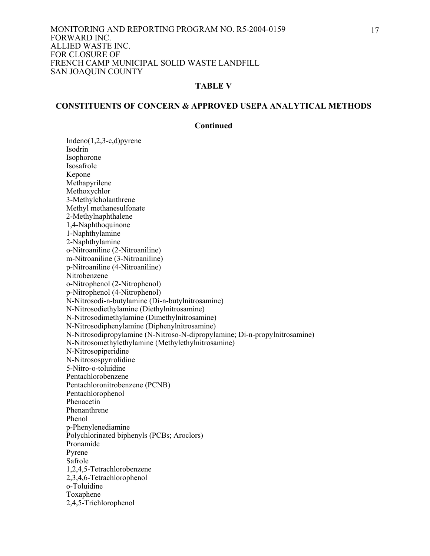## **TABLE V**

#### **CONSTITUENTS OF CONCERN & APPROVED USEPA ANALYTICAL METHODS**

## **Continued**

 Indeno(1,2,3-c,d)pyrene Isodrin Isophorone Isosafrole Kepone Methapyrilene Methoxychlor 3-Methylcholanthrene Methyl methanesulfonate 2-Methylnaphthalene 1,4-Naphthoquinone 1-Naphthylamine 2-Naphthylamine o-Nitroaniline (2-Nitroaniline) m-Nitroaniline (3-Nitroaniline) p-Nitroaniline (4-Nitroaniline) Nitrobenzene o-Nitrophenol (2-Nitrophenol) p-Nitrophenol (4-Nitrophenol) N-Nitrosodi-n-butylamine (Di-n-butylnitrosamine) N-Nitrosodiethylamine (Diethylnitrosamine) N-Nitrosodimethylamine (Dimethylnitrosamine) N-Nitrosodiphenylamine (Diphenylnitrosamine) N-Nitrosodipropylamine (N-Nitroso-N-dipropylamine; Di-n-propylnitrosamine) N-Nitrosomethylethylamine (Methylethylnitrosamine) N-Nitrosopiperidine N-Nitrosospyrrolidine 5-Nitro-o-toluidine Pentachlorobenzene Pentachloronitrobenzene (PCNB) Pentachlorophenol Phenacetin Phenanthrene Phenol p-Phenylenediamine Polychlorinated biphenyls (PCBs; Aroclors) Pronamide Pyrene Safrole 1,2,4,5-Tetrachlorobenzene 2,3,4,6-Tetrachlorophenol o-Toluidine Toxaphene 2,4,5-Trichlorophenol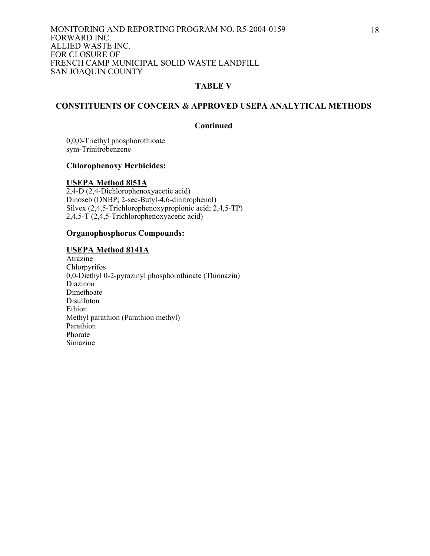## **TABLE V**

# **CONSTITUENTS OF CONCERN & APPROVED USEPA ANALYTICAL METHODS**

#### **Continued**

 0,0,0-Triethyl phosphorothioate sym-Trinitrobenzene

# **Chlorophenoxy Herbicides:**

### **USEPA Method 8l51A**

2,4-D (2,4-Dichlorophenoxyacetic acid) Dinoseb (DNBP; 2-sec-Butyl-4,6-dinitrophenol) Silvex (2,4,5-Trichlorophenoxypropionic acid; 2,4,5-TP) 2,4,5-T (2,4,5-Trichlorophenoxyacetic acid)

## **Organophosphorus Compounds:**

#### **USEPA Method 8141A**

**Atrazine** Chlorpyrifos 0,0-Diethyl 0-2-pyrazinyl phosphorothioate (Thionazin) Diazinon Dimethoate Disulfoton Ethion Methyl parathion (Parathion methyl) Parathion Phorate Simazine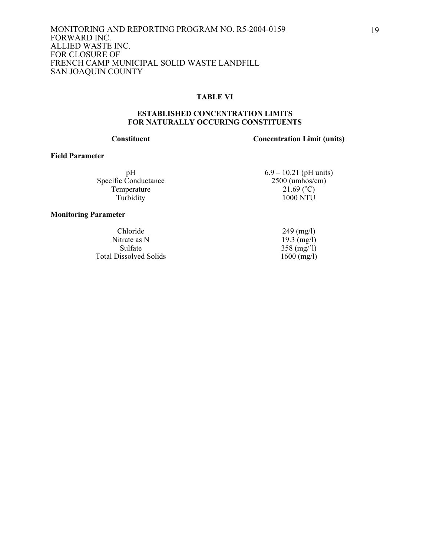#### **TABLE VI**

#### **ESTABLISHED CONCENTRATION LIMITS FOR NATURALLY OCCURING CONSTITUENTS**

# **Constituent Concentration Limit (units)**

#### **Field Parameter**

Specific Conductance Temperature<br>Turbidity

#### **Monitoring Parameter**

Chloride 249 (mg/l) Nitrate as N<br>Sulfate 358 (mg/l) Total Dissolved Solids

pH 6.9 – 10.21 (pH units)<br>Conductance 2500 (umhos/cm)  $21.69$  (°C)  $1000$  NTU

 $358 \text{ (mg/1)}$ <br>1600 (mg/l)